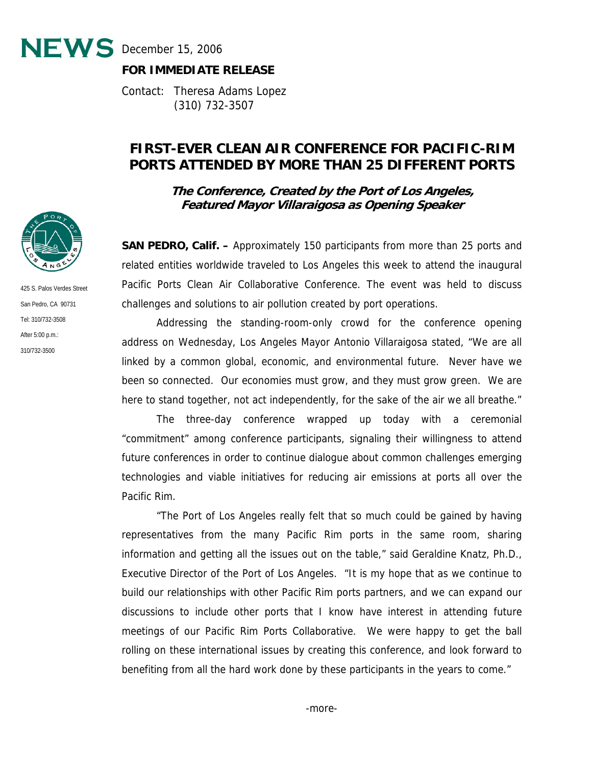$NEWS$  December 15, 2006



Contact: Theresa Adams Lopez (310) 732-3507

## **FIRST-EVER CLEAN AIR CONFERENCE FOR PACIFIC-RIM PORTS ATTENDED BY MORE THAN 25 DIFFERENT PORTS**

**The Conference, Created by the Port of Los Angeles, Featured Mayor Villaraigosa as Opening Speaker** 

**SAN PEDRO, Calif. –** Approximately 150 participants from more than 25 ports and related entities worldwide traveled to Los Angeles this week to attend the inaugural Pacific Ports Clean Air Collaborative Conference. The event was held to discuss challenges and solutions to air pollution created by port operations.

 Addressing the standing-room-only crowd for the conference opening address on Wednesday, Los Angeles Mayor Antonio Villaraigosa stated, "We are all linked by a common global, economic, and environmental future. Never have we been so connected. Our economies must grow, and they must grow green. We are here to stand together, not act independently, for the sake of the air we all breathe."

 The three-day conference wrapped up today with a ceremonial "commitment" among conference participants, signaling their willingness to attend future conferences in order to continue dialogue about common challenges emerging technologies and viable initiatives for reducing air emissions at ports all over the Pacific Rim.

 "The Port of Los Angeles really felt that so much could be gained by having representatives from the many Pacific Rim ports in the same room, sharing information and getting all the issues out on the table," said Geraldine Knatz, Ph.D., Executive Director of the Port of Los Angeles. "It is my hope that as we continue to build our relationships with other Pacific Rim ports partners, and we can expand our discussions to include other ports that I know have interest in attending future meetings of our Pacific Rim Ports Collaborative. We were happy to get the ball rolling on these international issues by creating this conference, and look forward to benefiting from all the hard work done by these participants in the years to come."



425 S. Palos Verdes Street San Pedro, CA 90731 Tel: 310/732-3508 After 5:00 p.m.: 310/732-3500